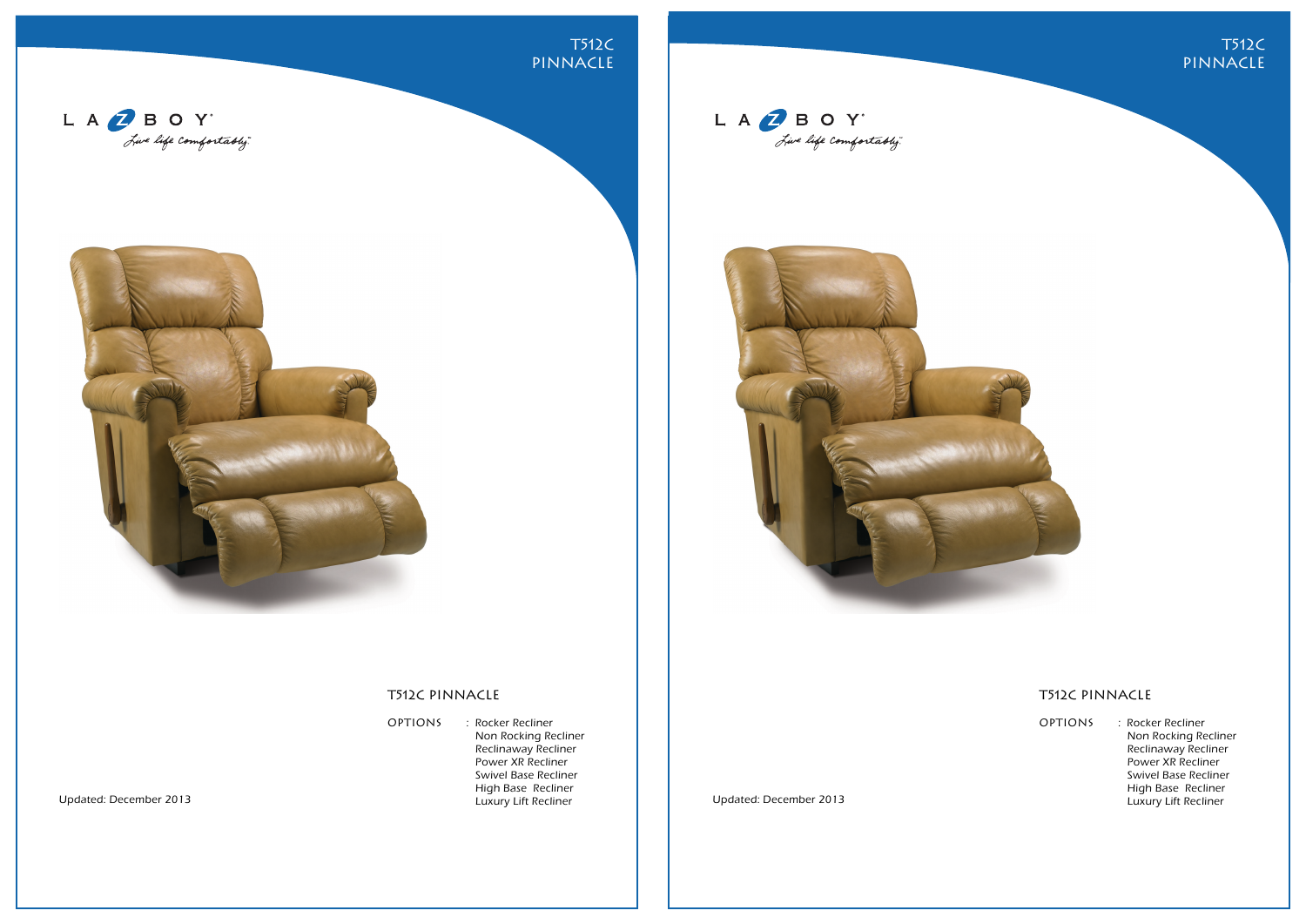





## T512C PINNACLE

OPTIONS : Rocker Recliner Non Rocking Recliner Reclinaway Recliner Power XR Recliner Swivel Base Recliner High Base Recliner Luxury Lift Recliner

Updated: December 2013 Updated: December 2013